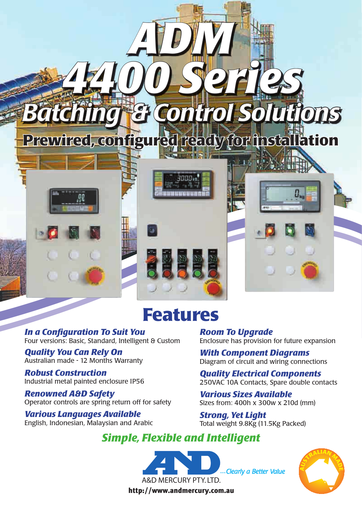

### **Features**

*In a Configuration To Suit You* Four versions: Basic, Standard, Intelligent & Custom

*Quality You Can Rely On* Australian made - 12 Months Warranty

*Robust Construction* Industrial metal painted enclosure IP56

*Renowned A&D Safety* Operator controls are spring return off for safety

*Various Languages Available* English, Indonesian, Malaysian and Arabic *Room To Upgrade* Enclosure has provision for future expansion

*With Component Diagrams* Diagram of circuit and wiring connections

*Quality Electrical Components* 250VAC 10A Contacts, Spare double contacts

*Various Sizes Available* Sizes from: 400h x 300w x 210d (mm)

*Strong, Yet Light* Total weight 9.8Kg (11.5Kg Packed)

#### *Simple, Flexible and Intelligent*